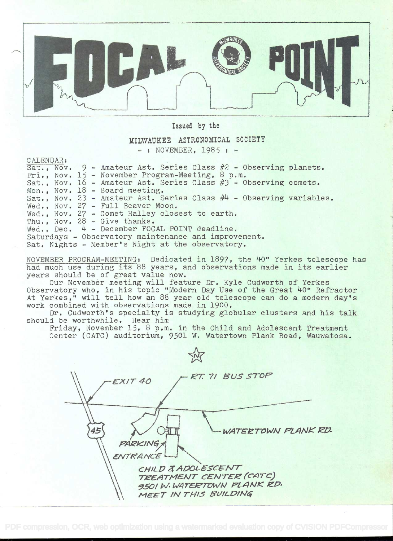

Issued by the

## MILWAUKEE ASTRONOMICAL SOCIETY  $-$ : NOVEMBER, 1985 :  $-$

CALENDAR:

|                                                      |  |  |  | $Sat.$ , Nov. 9 - Amateur Ast. Series Class $#2$ - Observing planets. |  |  |  |
|------------------------------------------------------|--|--|--|-----------------------------------------------------------------------|--|--|--|
|                                                      |  |  |  | Fri., Nov. 15 - November Program-Meeting, 8 p.m.                      |  |  |  |
|                                                      |  |  |  | Sat., Nov. 16 - Amateur Ast. Series Class $#3$ - Observing comets.    |  |  |  |
|                                                      |  |  |  | Mon., Nov. $18$ - Board meeting.                                      |  |  |  |
|                                                      |  |  |  | Sat., Nov. 23 - Amateur Ast. Series Class $#4$ - Observing variables. |  |  |  |
|                                                      |  |  |  | Wed., Nov. 27 - Full Beaver Moon.                                     |  |  |  |
|                                                      |  |  |  | Wed., Nov. 27 - Comet Halley closest to earth.                        |  |  |  |
|                                                      |  |  |  | Thu., Nov. $28 - Give thanks.$                                        |  |  |  |
|                                                      |  |  |  | Wed., Dec. $4$ - December FOCAL POINT deadline.                       |  |  |  |
| Saturdays - Observatory maintenance and improvement. |  |  |  |                                                                       |  |  |  |
| Sat. Nights - Member's Night at the observatory.     |  |  |  |                                                                       |  |  |  |

NOVEMBER PROGRAM-MEETING: Dedicated in 1897, the 40" Yerkes telescope has had much use during its 88 years, and observations made in its earlier years should be of great value now.

Our Novembèr meeting will feature Dr. Kyle Cudworth of Yerkes Observatory who, in his topic "Modern Day Use of the Great 40" Refractor At Yerkes," will tell how an 88 year old telescope can do a modern day's work combined with observations made in 1900.

Dr. Cudworth's specialty is studying globular clusters and his talk should be worthwhile. Hear him

Friday, November 15, 8 p.m. in the Child and Adolescent Treatment Center (CATC) auditorium, 9501 W. Watertown Plank Road, Wauwatosa.

 $EXIT40$   $-FRT. 71$  BUS STOP WATERTOWN PLANK RD. PARKING ENTRANCE CHILD & ADOLESCENT<br>TREATMENT CENTER (CATC) 9501 W. WATERTOWN PLANK RD. MEET IN THIS BUILDING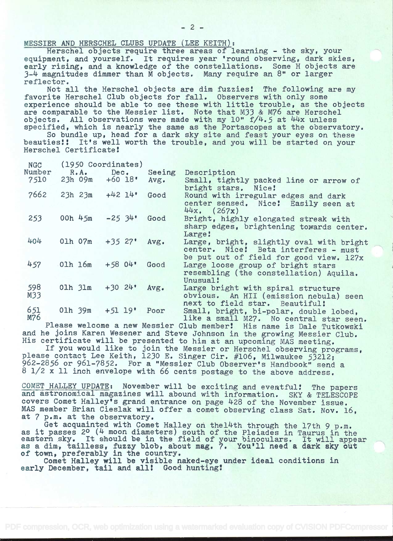## MESSIER AND HERSCHEL CLUBS UPDATE (LEE KEITH):

Herschel objects require three areas of learning - the sky, your equipment, and yourself. It requires year 'round observing, dark skies, early rising, and a knowledge of the constellations. Some H objects are :3-4 magnitudes dimmer than. M objects. Many require an 8' or larger reflector.

Not all the Herschel objects are dim fuzziest The following are my favorite Herschel Club objects for fall. Observers with only some experience should be able to see these with little trouble, as the objects are comparable to the Messier list. Note that M33 & M76 are Herschel objects. All observations were made with my  $10" f/4.5$  at  $44x$  unless specified, which is nearly the same as the Portascopes at the observatory.

So bundle up, head for a dark sky site and feast your eyes on these beauties!! It's well worth the trouble, and you will be started on your Herschel Certificate

| <b>NGC</b> |                   | (1950 Coordinates)  |        |                                                                                                                             |
|------------|-------------------|---------------------|--------|-----------------------------------------------------------------------------------------------------------------------------|
| Number     | $R \cdot A \cdot$ | Dec.                | Seeing | Description                                                                                                                 |
| 7510       | $23h$ 09m         | $+60$ 18 $^{\circ}$ | Avg.   | Small, tightly packed line or arrow of<br>bright stars. Nice!                                                               |
| 7662       | $23h$ $23m$       | $+42$ 14'           | Good   | Round with irregular edges and dark<br>center sensed. Nice: Easily seen at<br>$44x.$ (267x)                                 |
| 253        | 00h $45m$         | $-25.34$            | Good   | Bright, highly elongated streak with<br>sharp edges, brightening towards center.<br>Large!                                  |
| 404        | 01h 07m           | $+35$ 27'           | Avg.   | Large, bright, slightly oval with bright<br>center. Nice! Beta interferes - must<br>be put out of field for good view. 127x |
| 457        | 01h 16m           | $+5804$             | Good   | Large loose group of bright stars<br>resembling (the constellation) Aquila.<br>Unusual:                                     |
| 598<br>M33 | $01h$ $31m$       | $+30.24$            | Avg.   | Large bright with spiral structure<br>obvious. An HII (emission nebula) seen<br>next to field star. Beautiful!              |
| 651<br>M76 | 01h 39m           | $+51$ 19'           | Poor   | Small, bright, bi-polar, double lobed,<br>like a small M27. No central star seen.                                           |
|            |                   |                     |        |                                                                                                                             |

Please welcome a new Messier Club member! His name is Dale Tutkowski and he joins Karen Wesener and Steve Johnson in the growing Messier Club. His certificate will be presented to him at an upcoming MAS meeting.

If you would like to join the Messier or Herschel observing programs, please contact Lee Keith, 1230 E. Singer Cir. #106, Milwaukee 53212; 962-2856 or 961-7852. For a "Messier Club Observer's Handbook" send a 8 1/2 x 11 inch envelope with 66 cents postage to the above address.

COMET HALLEY UPDATE: November will be exciting and eventful! The papers and astronomical magazines will abound with information. SKY & TELESCOPE covers Comet Halley's grand entrance on page 428 of the November issue. MAS member Brian Cieslak will offer a comet observing class Sat. Nov. 16, at 7 p.m. at the observatory.

Get acquainted with Comet Halley on thel4th through the 17th 9 p.m. as it passes 20 (4 moon diameters) south of the Pleiades in Taurus in the eastern sky. It should be in the field of your binoculars. It will appear as a dim-, tailless, fuzzy blob, about mag. 7. You'll need a dark sky out of town, preferably in the country.

Comet Halley will be visible naked-eye under ideal conditions in early December, tail and all! Good hunting!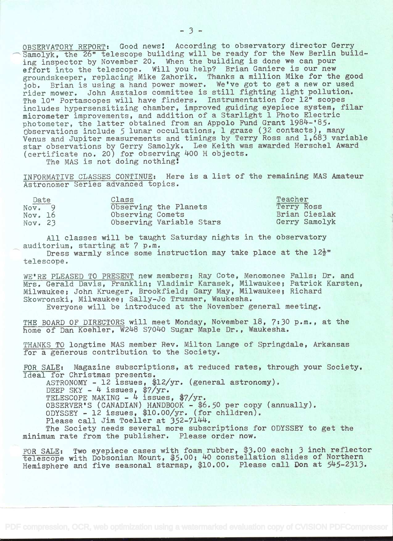OBSERVATORY REPORT: Good news! According to observatory director Gerry<br>Samolyk, the 26" telescope building will be ready for the New Berlin building inspector by November 20. When the building is done we can pour effort into the telescope. Will you help? Brian Ganiere is our new groundskeeper, replacing Mike Zahorik. Thanks a million Mike for the good job. Brian is using a hand power mower. We've got to get a new or used rider mower. John Asztalos committee is still fighting light pollution. The 10" Portascopes will have finders. Instrumentation for 12" scopes includes hypersensitizing chamber, improved guiding eyepiece system, filar micrometer improvements, and addition of a Starlight 1 Photo Electric photometer, the latter obtained from an Appolo Fund Grant 1984-'85. Observations include 5 lunar occultations, i graze (32 contacts), many Venus and Jupiter measurements and timings by Terry Ross and 1,683 variable star observations by Gerry Samolyk. Lee Keith was awarded Herschel Award (certificate no. 20) for observing 400 H objects.

The MAS is not doing nothing!

INFORMATIVE CLASSES CONTINUE: Here is a list of the remaining MAS Amateur Astronomer Series advanced topics.

| Date    | Class                    | Teacher       |
|---------|--------------------------|---------------|
| Nov. 9  | Observing the Planets    | Terry Ross    |
| Nov. 16 | Observing Comets         | Brian Cieslak |
| Nov. 23 | Observing Variable Stars | Gerry Samolyk |

All classes will be taught Saturday nights in the observatory auditorium, starting at 7 p.m.

Dress warmly since some instruction may take place at the  $12\frac{1}{2}$ " telescope.

WE'RE PLEASED TO PRESENT new members; Ray Cote, Menomonee Falls; Dr. and Mrs. Gerald Davis, Franklin; Vladimir Karasek, Milwaukee; Patrick Karsten, Milwaukee; John Krueger, Brookfield; Gary May, Milwaukee; Richard Skowronski, Milwaukee; Sally-Jo Trummer, Waukesha.

Everyone will be introduced at the November general meeting.

THE BOARD OF DIRECTORS will meet Monday, November 18, 7:30 p.m., at the home of Dan Koehler, W248 S7040 Sugar Maple Dr., Waukesha.

THANKS TO longtime MAS member Rev. Milton Lange of Springdale, Arkansas for a generous contribution to the Society.

FOR SALE: Magazine subscriptions, at reduced rates, through your Society. Ideal for Christmas presents.

ASTRONOMY - 12 issues, \$12/yr. (general astronomy).

DEEP SKY -  $4$  issues,  $\frac{2}{3}$ /yr.

TELESCOPE MAKING  $-$  4 issues, \$7/yr.

OBSERVER'S (CANADIAN) HANDBOOK - 46.5O per copy (annually).

 $0$ DYSSEY - 12 issues, \$10.00/yr. (for children).

Please call Jim Toeller at 352-7144.

The Society needs several more subscriptions for ODYSSEY to get the minimum rate from the publisher. Please order now.

FOR SALE: Two eyepiece cases with foam rubber, \$3.00 each; 3 inch reflector telescope with Dobsonian Mount, \$5.00; 40 constellation slides of Northern Hemisphere and five seasonal starmap, \$10.00. Please call Don at 545-2313.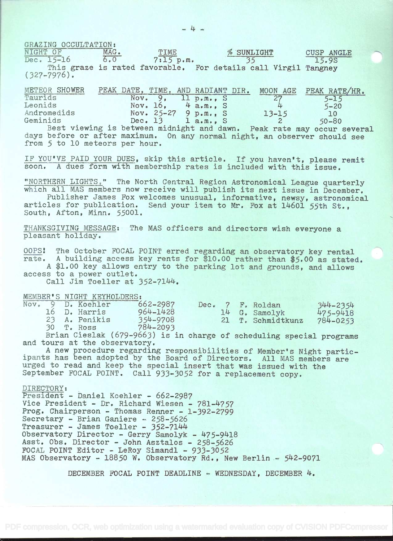GRAZING OCCULTATION:<br>NIGHT OF MAG.

 $\frac{\text{NIGHT OF}}{\text{Dec. } 15-16}$  MAG. TIME % SUNLIGHT CUSP ANGLE  $\frac{\text{WAG.}}{7 \cdot 15 \text{ p.m.}}$  % SUNLIGHT CUSP ANGLE Dec.  $15-16$   $\overline{6.0}$   $\overline{7:15}$  p.m.  $\overline{35}$   $\overline{15.9}$ S This graze is rated favorable. For details call Virgil Tangney (327-7976).

| METEOR SHOWER |         |                         | PEAK DATE, TIME, AND RADIANT DIR. | MOON AGE        | PEAK RATE/HR.                                                          |  |
|---------------|---------|-------------------------|-----------------------------------|-----------------|------------------------------------------------------------------------|--|
| Taurids       | Nov. 9. |                         | 11 p.m., S                        | $\overline{27}$ | $5 - 15$                                                               |  |
| Leonids       |         | Nov. $16$ , $4$ a.m., S |                                   |                 | $5 - 20$                                                               |  |
| Andromedids   |         | Nov. $25-27$ 9 p.m., S  |                                   | $13 - 15$       | 10                                                                     |  |
| Geminids      |         | Dec. 13 $l$ a.m., S     |                                   |                 | $50 - 80$                                                              |  |
|               |         |                         |                                   |                 | Best viewing is between midnight and dawn. Peak rate may occur several |  |
|               |         |                         |                                   |                 |                                                                        |  |

days before or after maximum. On any normal night, an observer should see from 5 to 10 meteors per hour.

IF YOU'VE PAID YOUR DUES, skip this article. If you haven't, please remit soon. A dues form with membership rates is included with this issue.

"NORTHERN LIGHTS," The North Central Region Astronomical League quarterly<br>which all MAS members now receive will publish its next issue in December.<br>Publisher James Fox welcomes unusual, informative, newsy, astronomical<br>ar

THANKSGIVING MESSAGE: The MAS officers and directors wish everyone a pleasant holiday.

oops: The October FOCAL POINT erred regarding an observatory key rental rate. A building access key rents for \$10.00 rather than \$5.00 as stated. <sup>A</sup>\$1.00 key allows entry to the parking lot and grounds, and allows

access to a power outlet.

Call Jim Toeller at 352-7144.

MEMBER'S NIGHT KEYHOLDERS:<br>Nov. 9 D. Koehler 6

|  | Nov. 9 D. Koehler | $662 - 2987$ |  | Dec. 7 F. Roldan  | 344-2354 |
|--|-------------------|--------------|--|-------------------|----------|
|  | 16 D. Harris      | 964-1428     |  | 14 G. Samolyk     | 475-9418 |
|  | 23 A. Penikis     | 354-9708     |  | 21 T. Schmidtkunz | 784-0253 |
|  | 30 T. Ross        | 784-2093     |  |                   |          |

Brian Cieslak (679-9663) is in charge of scheduling special programs<br>and tours at the observatory.<br>A new procedure regarding responsibilities of Member's Night partic-

ipants has been adopted by the Board of Directors. All MAS members are<br>urged to read and keep the special insert that was issued with the<br>September FOCAL POINT. Call 933-3052 for a replacement copy.

DIRECTORY: President - Daniel Koehler - 662-2987 Vice President - Dr. Richard Wiesen - 781-4757<br>Prog. Chairperson - Thomas Renner - 1-392-2799 Secretary - Brian Ganiere - 258-5626<br>Treasurer - James Toeller - 352-7144 Observatory Director - Gerry Samolyk - 475-9418<br>Asst. Obs. Director - John Asztalos - 258-5626 FOCAL POINT Editor - LeRoy Simandi - 933-3052 MAS Observatory - 18850 W. Observatory Rd., New Berlin -  $542-9071$ 

DECEMBER FOCAL POINT DEADLINE - WEDNESDAY, DECEMBER  $4.$